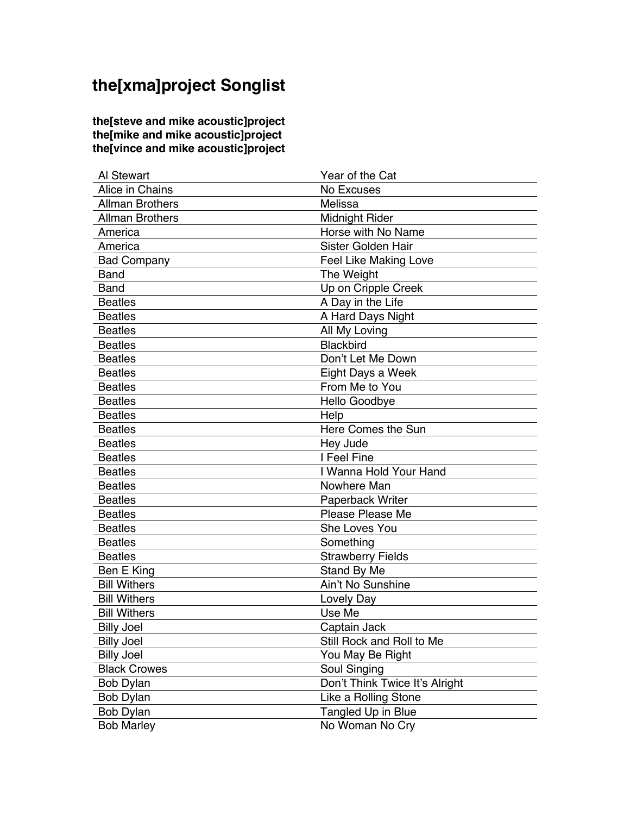## **the[xma]project Songlist**

**the[steve and mike acoustic]project the[mike and mike acoustic]project the[vince and mike acoustic]project**

| Al Stewart             | Year of the Cat                |
|------------------------|--------------------------------|
| Alice in Chains        | No Excuses                     |
| <b>Allman Brothers</b> | Melissa                        |
| <b>Allman Brothers</b> | Midnight Rider                 |
| America                | Horse with No Name             |
| America                | Sister Golden Hair             |
| <b>Bad Company</b>     | Feel Like Making Love          |
| <b>Band</b>            | The Weight                     |
| Band                   | Up on Cripple Creek            |
| <b>Beatles</b>         | A Day in the Life              |
| <b>Beatles</b>         | A Hard Days Night              |
| <b>Beatles</b>         | All My Loving                  |
| <b>Beatles</b>         | <b>Blackbird</b>               |
| <b>Beatles</b>         | Don't Let Me Down              |
| <b>Beatles</b>         | Eight Days a Week              |
| <b>Beatles</b>         | From Me to You                 |
| <b>Beatles</b>         | Hello Goodbye                  |
| <b>Beatles</b>         | Help                           |
| <b>Beatles</b>         | Here Comes the Sun             |
| <b>Beatles</b>         | Hey Jude                       |
| <b>Beatles</b>         | I Feel Fine                    |
| <b>Beatles</b>         | I Wanna Hold Your Hand         |
| <b>Beatles</b>         | Nowhere Man                    |
| <b>Beatles</b>         | Paperback Writer               |
| <b>Beatles</b>         | Please Please Me               |
| <b>Beatles</b>         | She Loves You                  |
| <b>Beatles</b>         | Something                      |
| <b>Beatles</b>         | <b>Strawberry Fields</b>       |
| Ben E King             | Stand By Me                    |
| <b>Bill Withers</b>    | Ain't No Sunshine              |
| <b>Bill Withers</b>    | Lovely Day                     |
| <b>Bill Withers</b>    | Use Me                         |
| <b>Billy Joel</b>      | Captain Jack                   |
| <b>Billy Joel</b>      | Still Rock and Roll to Me      |
| <b>Billy Joel</b>      | You May Be Right               |
| <b>Black Crowes</b>    | Soul Singing                   |
| <b>Bob Dylan</b>       | Don't Think Twice It's Alright |
| <b>Bob Dylan</b>       | Like a Rolling Stone           |
| <b>Bob Dylan</b>       | Tangled Up in Blue             |
| <b>Bob Marley</b>      | No Woman No Cry                |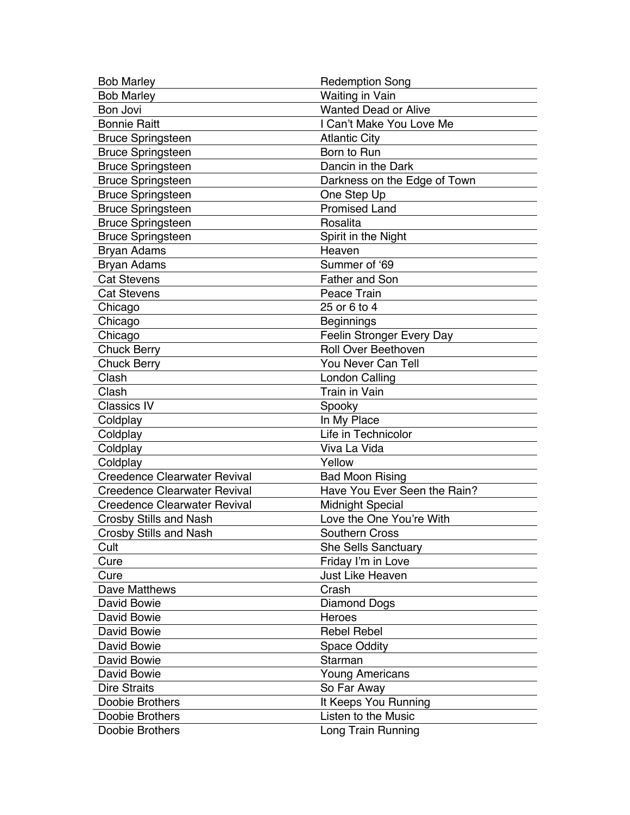| <b>Bob Marley</b>                   | <b>Redemption Song</b>       |
|-------------------------------------|------------------------------|
| <b>Bob Marley</b>                   | <b>Waiting in Vain</b>       |
| Bon Jovi                            | <b>Wanted Dead or Alive</b>  |
| <b>Bonnie Raitt</b>                 | I Can't Make You Love Me     |
| <b>Bruce Springsteen</b>            | <b>Atlantic City</b>         |
| <b>Bruce Springsteen</b>            | Born to Run                  |
| <b>Bruce Springsteen</b>            | Dancin in the Dark           |
| <b>Bruce Springsteen</b>            | Darkness on the Edge of Town |
| <b>Bruce Springsteen</b>            | One Step Up                  |
| <b>Bruce Springsteen</b>            | <b>Promised Land</b>         |
| <b>Bruce Springsteen</b>            | Rosalita                     |
| <b>Bruce Springsteen</b>            | Spirit in the Night          |
| <b>Bryan Adams</b>                  | Heaven                       |
| <b>Bryan Adams</b>                  | Summer of '69                |
| <b>Cat Stevens</b>                  | <b>Father and Son</b>        |
| <b>Cat Stevens</b>                  | Peace Train                  |
| Chicago                             | 25 or 6 to 4                 |
| Chicago                             | <b>Beginnings</b>            |
| Chicago                             | Feelin Stronger Every Day    |
| <b>Chuck Berry</b>                  | <b>Roll Over Beethoven</b>   |
| <b>Chuck Berry</b>                  | You Never Can Tell           |
| Clash                               | <b>London Calling</b>        |
| Clash                               | <b>Train in Vain</b>         |
| <b>Classics IV</b>                  | Spooky                       |
| Coldplay                            | In My Place                  |
| Coldplay                            | Life in Technicolor          |
| Coldplay                            | Viva La Vida                 |
| Coldplay                            | Yellow                       |
| <b>Creedence Clearwater Revival</b> | <b>Bad Moon Rising</b>       |
| <b>Creedence Clearwater Revival</b> | Have You Ever Seen the Rain? |
| <b>Creedence Clearwater Revival</b> | <b>Midnight Special</b>      |
| <b>Crosby Stills and Nash</b>       | Love the One You're With     |
| <b>Crosby Stills and Nash</b>       | <b>Southern Cross</b>        |
| Cult                                | <b>She Sells Sanctuary</b>   |
| Cure                                | Friday I'm in Love           |
| Cure                                | <b>Just Like Heaven</b>      |
| Dave Matthews                       | Crash                        |
| David Bowie                         | <b>Diamond Dogs</b>          |
| David Bowie                         | Heroes                       |
| David Bowie                         | <b>Rebel Rebel</b>           |
| David Bowie                         | <b>Space Oddity</b>          |
| David Bowie                         | Starman                      |
| David Bowie                         | <b>Young Americans</b>       |
| <b>Dire Straits</b>                 | So Far Away                  |
| Doobie Brothers                     | It Keeps You Running         |
| Doobie Brothers                     | Listen to the Music          |
| Doobie Brothers                     | Long Train Running           |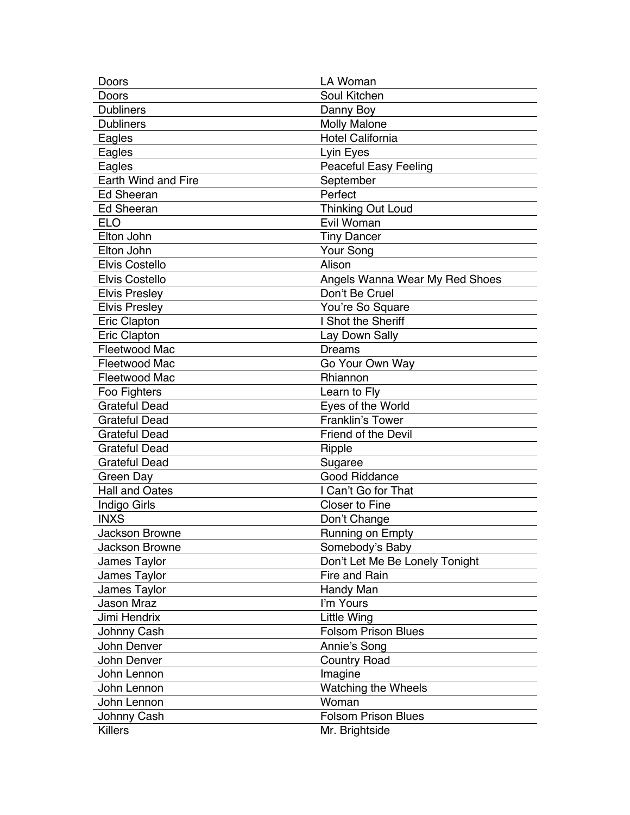| Doors                 | LA Woman                       |
|-----------------------|--------------------------------|
| Doors                 | Soul Kitchen                   |
| <b>Dubliners</b>      | Danny Boy                      |
| <b>Dubliners</b>      | <b>Molly Malone</b>            |
| Eagles                | Hotel California               |
| Eagles                | Lyin Eyes                      |
| Eagles                | <b>Peaceful Easy Feeling</b>   |
| Earth Wind and Fire   | September                      |
| <b>Ed Sheeran</b>     | Perfect                        |
| <b>Ed Sheeran</b>     | Thinking Out Loud              |
| <b>ELO</b>            | Evil Woman                     |
| Elton John            | <b>Tiny Dancer</b>             |
| Elton John            | Your Song                      |
| <b>Elvis Costello</b> | Alison                         |
| <b>Elvis Costello</b> | Angels Wanna Wear My Red Shoes |
| <b>Elvis Presley</b>  | Don't Be Cruel                 |
| <b>Elvis Presley</b>  | You're So Square               |
| Eric Clapton          | I Shot the Sheriff             |
| Eric Clapton          | Lay Down Sally                 |
| Fleetwood Mac         | <b>Dreams</b>                  |
| Fleetwood Mac         | Go Your Own Way                |
| <b>Fleetwood Mac</b>  | Rhiannon                       |
| Foo Fighters          | Learn to Fly                   |
| <b>Grateful Dead</b>  | Eyes of the World              |
| <b>Grateful Dead</b>  | <b>Franklin's Tower</b>        |
| <b>Grateful Dead</b>  | <b>Friend of the Devil</b>     |
| <b>Grateful Dead</b>  | Ripple                         |
| <b>Grateful Dead</b>  | Sugaree                        |
| Green Day             | <b>Good Riddance</b>           |
| <b>Hall and Oates</b> | I Can't Go for That            |
| Indigo Girls          | <b>Closer to Fine</b>          |
| <b>INXS</b>           | Don't Change                   |
| Jackson Browne        | Running on Empty               |
| Jackson Browne        | Somebody's Baby                |
| James Taylor          | Don't Let Me Be Lonely Tonight |
| James Taylor          | Fire and Rain                  |
| James Taylor          | Handy Man                      |
| <b>Jason Mraz</b>     | I'm Yours                      |
| Jimi Hendrix          | Little Wing                    |
| Johnny Cash           | <b>Folsom Prison Blues</b>     |
| John Denver           | Annie's Song                   |
| John Denver           | <b>Country Road</b>            |
| John Lennon           | Imagine                        |
| John Lennon           | Watching the Wheels            |
| John Lennon           | Woman                          |
| Johnny Cash           | <b>Folsom Prison Blues</b>     |
| <b>Killers</b>        | Mr. Brightside                 |
|                       |                                |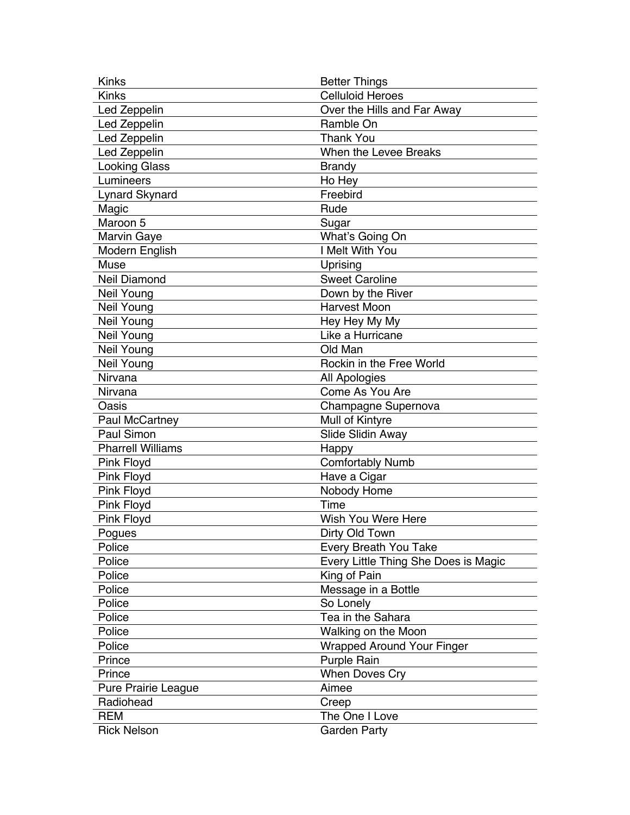| <b>Kinks</b>             | <b>Better Things</b>                 |
|--------------------------|--------------------------------------|
| Kinks                    | <b>Celluloid Heroes</b>              |
| Led Zeppelin             | Over the Hills and Far Away          |
| Led Zeppelin             | Ramble On                            |
| Led Zeppelin             | <b>Thank You</b>                     |
| Led Zeppelin             | When the Levee Breaks                |
| <b>Looking Glass</b>     | <b>Brandy</b>                        |
| Lumineers                | Ho Hey                               |
| <b>Lynard Skynard</b>    | Freebird                             |
| Magic                    | Rude                                 |
| Maroon 5                 | Sugar                                |
| <b>Marvin Gaye</b>       | What's Going On                      |
| Modern English           | I Melt With You                      |
| Muse                     | Uprising                             |
| <b>Neil Diamond</b>      | <b>Sweet Caroline</b>                |
| Neil Young               | Down by the River                    |
| Neil Young               | <b>Harvest Moon</b>                  |
| Neil Young               | Hey Hey My My                        |
| Neil Young               | Like a Hurricane                     |
| Neil Young               | Old Man                              |
| Neil Young               | Rockin in the Free World             |
| Nirvana                  | All Apologies                        |
| Nirvana                  | Come As You Are                      |
| Oasis                    | Champagne Supernova                  |
| Paul McCartney           | Mull of Kintyre                      |
| <b>Paul Simon</b>        | Slide Slidin Away                    |
| <b>Pharrell Williams</b> | Happy                                |
| Pink Floyd               | <b>Comfortably Numb</b>              |
| <b>Pink Floyd</b>        | Have a Cigar                         |
| Pink Floyd               | Nobody Home                          |
| Pink Floyd               | Time                                 |
| Pink Floyd               | Wish You Were Here                   |
| Pogues                   | Dirty Old Town                       |
| Police                   | Every Breath You Take                |
| Police                   | Every Little Thing She Does is Magic |
| Police                   | King of Pain                         |
| Police                   | Message in a Bottle                  |
| Police                   | So Lonely                            |
| Police                   | Tea in the Sahara                    |
| Police                   | Walking on the Moon                  |
| Police                   | <b>Wrapped Around Your Finger</b>    |
| Prince                   | Purple Rain                          |
| Prince                   | <b>When Doves Cry</b>                |
| Pure Prairie League      | Aimee                                |
| Radiohead                | Creep                                |
| <b>REM</b>               | The One I Love                       |
| <b>Rick Nelson</b>       | <b>Garden Party</b>                  |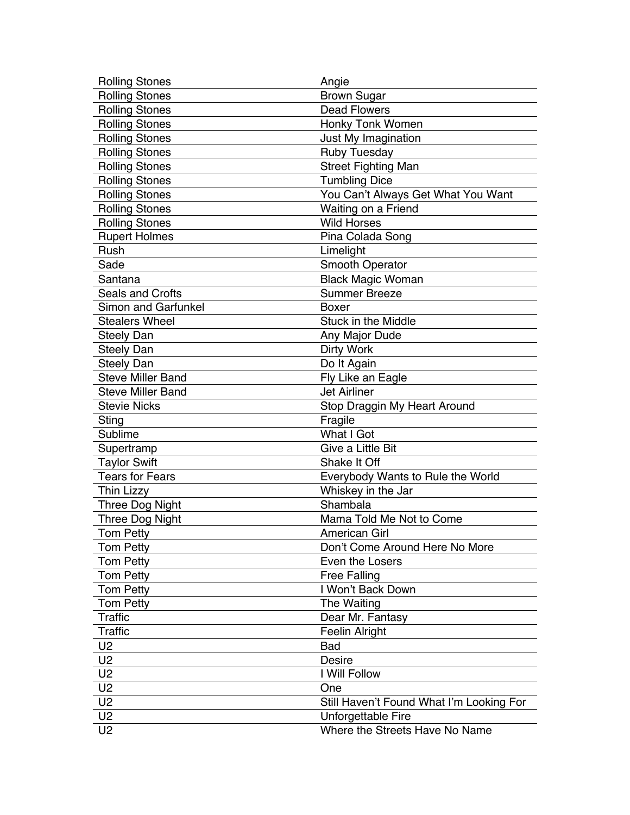| <b>Rolling Stones</b>      | Angie                                    |
|----------------------------|------------------------------------------|
| <b>Rolling Stones</b>      | <b>Brown Sugar</b>                       |
| <b>Rolling Stones</b>      | <b>Dead Flowers</b>                      |
| <b>Rolling Stones</b>      | Honky Tonk Women                         |
| <b>Rolling Stones</b>      | Just My Imagination                      |
| <b>Rolling Stones</b>      | <b>Ruby Tuesday</b>                      |
| <b>Rolling Stones</b>      | <b>Street Fighting Man</b>               |
| <b>Rolling Stones</b>      | <b>Tumbling Dice</b>                     |
| <b>Rolling Stones</b>      | You Can't Always Get What You Want       |
| <b>Rolling Stones</b>      | Waiting on a Friend                      |
| <b>Rolling Stones</b>      | <b>Wild Horses</b>                       |
| <b>Rupert Holmes</b>       | Pina Colada Song                         |
| Rush                       | Limelight                                |
| Sade                       | Smooth Operator                          |
| Santana                    | <b>Black Magic Woman</b>                 |
| <b>Seals and Crofts</b>    | <b>Summer Breeze</b>                     |
| <b>Simon and Garfunkel</b> | <b>Boxer</b>                             |
| <b>Stealers Wheel</b>      | <b>Stuck in the Middle</b>               |
| <b>Steely Dan</b>          | Any Major Dude                           |
| <b>Steely Dan</b>          | Dirty Work                               |
| <b>Steely Dan</b>          | Do It Again                              |
| <b>Steve Miller Band</b>   | Fly Like an Eagle                        |
| <b>Steve Miller Band</b>   | <b>Jet Airliner</b>                      |
| <b>Stevie Nicks</b>        | Stop Draggin My Heart Around             |
| Sting                      | Fragile                                  |
| Sublime                    | What I Got                               |
| Supertramp                 | Give a Little Bit                        |
| <b>Taylor Swift</b>        | Shake It Off                             |
| <b>Tears for Fears</b>     | Everybody Wants to Rule the World        |
| <b>Thin Lizzy</b>          | Whiskey in the Jar                       |
| <b>Three Dog Night</b>     | Shambala                                 |
| <b>Three Dog Night</b>     | Mama Told Me Not to Come                 |
| <b>Tom Petty</b>           | <b>American Girl</b>                     |
| <b>Tom Petty</b>           | Don't Come Around Here No More           |
| <b>Tom Petty</b>           | Even the Losers                          |
| <b>Tom Petty</b>           | <b>Free Falling</b>                      |
| <b>Tom Petty</b>           | I Won't Back Down                        |
| <b>Tom Petty</b>           | The Waiting                              |
| <b>Traffic</b>             | Dear Mr. Fantasy                         |
| <b>Traffic</b>             | Feelin Alright                           |
| U <sub>2</sub>             | <b>Bad</b>                               |
| U <sub>2</sub>             | <b>Desire</b>                            |
| U <sub>2</sub>             | I Will Follow                            |
| U <sub>2</sub>             | One                                      |
| U <sub>2</sub>             | Still Haven't Found What I'm Looking For |
| U <sub>2</sub>             | Unforgettable Fire                       |
| U <sub>2</sub>             | Where the Streets Have No Name           |